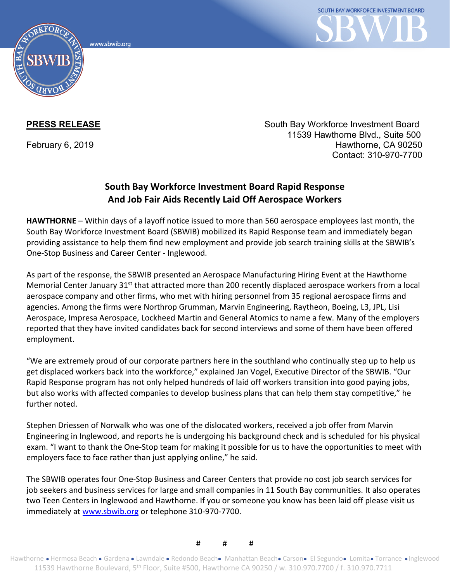www.sbwib.org



**PRESS RELEASE** South Bay Workforce Investment Board 11539 Hawthorne Blvd., Suite 500 February 6, 2019 **Hawthorne, CA 90250** Contact: 310-970-7700

## **South Bay Workforce Investment Board Rapid Response And Job Fair Aids Recently Laid Off Aerospace Workers**

**HAWTHORNE** – Within days of a layoff notice issued to more than 560 aerospace employees last month, the South Bay Workforce Investment Board (SBWIB) mobilized its Rapid Response team and immediately began providing assistance to help them find new employment and provide job search training skills at the SBWIB's One-Stop Business and Career Center - Inglewood.

As part of the response, the SBWIB presented an Aerospace Manufacturing Hiring Event at the Hawthorne Memorial Center January 31<sup>st</sup> that attracted more than 200 recently displaced aerospace workers from a local aerospace company and other firms, who met with hiring personnel from 35 regional aerospace firms and agencies. Among the firms were Northrop Grumman, Marvin Engineering, Raytheon, Boeing, L3, JPL, Lisi Aerospace, Impresa Aerospace, Lockheed Martin and General Atomics to name a few. Many of the employers reported that they have invited candidates back for second interviews and some of them have been offered employment.

"We are extremely proud of our corporate partners here in the southland who continually step up to help us get displaced workers back into the workforce," explained Jan Vogel, Executive Director of the SBWIB. "Our Rapid Response program has not only helped hundreds of laid off workers transition into good paying jobs, but also works with affected companies to develop business plans that can help them stay competitive," he further noted.

Stephen Driessen of Norwalk who was one of the dislocated workers, received a job offer from Marvin Engineering in Inglewood, and reports he is undergoing his background check and is scheduled for his physical exam. "I want to thank the One-Stop team for making it possible for us to have the opportunities to meet with employers face to face rather than just applying online," he said.

The SBWIB operates four One-Stop Business and Career Centers that provide no cost job search services for job seekers and business services for large and small companies in 11 South Bay communities. It also operates two Teen Centers in Inglewood and Hawthorne. If you or someone you know has been laid off please visit us immediately at [www.sbwib.org](http://www.sbwib.org/) or telephone 310-970-7700.

# # #